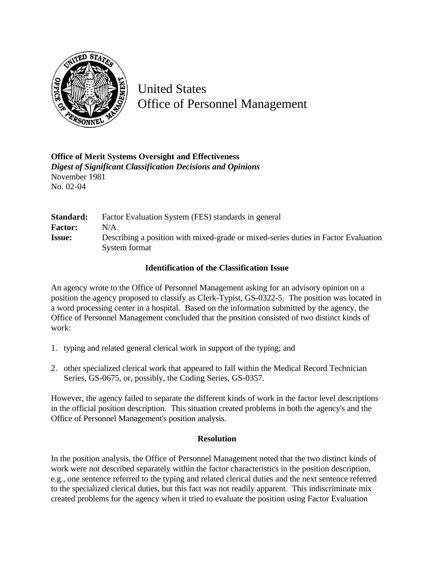

United States Office of Personnel Management

## **Office of Merit Systems Oversight and Effectiveness** *Digest of Significant Classification Decisions and Opinions* November 1981 No. 02-04

| Standard:      | Factor Evaluation System (FES) standards in general                                |
|----------------|------------------------------------------------------------------------------------|
| <b>Factor:</b> | N/A                                                                                |
| <b>Issue:</b>  | Describing a position with mixed-grade or mixed-series duties in Factor Evaluation |
|                | System format                                                                      |

## **Identification of the Classification Issue**

An agency wrote to the Office of Personnel Management asking for an advisory opinion on a position the agency proposed to classify as Clerk-Typist, GS-0322-5. The position was located in a word processing center in a hospital. Based on the information submitted by the agency, the Office of Personnel Management concluded that the position consisted of two distinct kinds of work:

- 1. typing and related general clerical work in support of the typing; and
- 2. other specialized clerical work that appeared to fall within the Medical Record Technician Series, GS-0675, or, possibly, the Coding Series, GS-0357.

However, the agency failed to separate the different kinds of work in the factor level descriptions in the official position description. This situation created problems in both the agency's and the Office of Personnel Management's position analysis.

## **Resolution**

In the position analysis, the Office of Personnel Management noted that the two distinct kinds of work were not described separately within the factor characteristics in the position description, e.g., one sentence referred to the typing and related clerical duties and the next sentence referred to the specialized clerical duties, but this fact was not readily apparent. This indiscriminate mix created problems for the agency when it tried to evaluate the position using Factor Evaluation